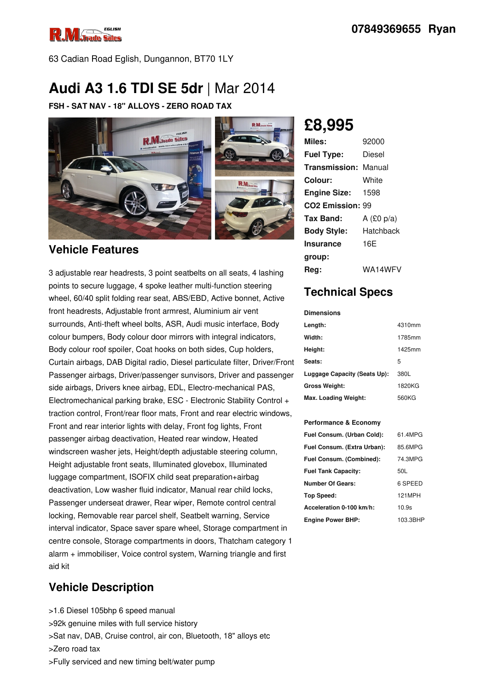

63 Cadian Road Eglish, Dungannon, BT70 1LY

# **Audi A3 1.6 TDI SE 5dr** |Mar 2014

**FSH - SAT NAV - 18" ALLOYS - ZERO ROAD TAX**



### **Vehicle Features**

3 adjustable rear headrests, 3 point seatbelts on all seats, 4 lashing points to secure luggage, 4 spoke leather multi-function steering wheel, 60/40 split folding rear seat, ABS/EBD, Active bonnet, Active front headrests, Adjustable front armrest, Aluminium air vent surrounds, Anti-theft wheel bolts, ASR, Audi music interface, Body colour bumpers, Body colour door mirrors with integral indicators, Body colour roof spoiler, Coat hooks on both sides, Cup holders, Curtain airbags, DAB Digital radio, Diesel particulate filter, Driver/Front Passenger airbags, Driver/passenger sunvisors, Driver and passenger side airbags, Drivers knee airbag, EDL, Electro-mechanical PAS, Electromechanical parking brake, ESC - Electronic Stability Control + traction control, Front/rear floor mats, Front and rear electric windows, Front and rear interior lights with delay, Front fog lights, Front passenger airbag deactivation, Heated rear window, Heated windscreen washer jets, Height/depth adjustable steering column, Height adjustable front seats, Illuminated glovebox, Illuminated luggage compartment, ISOFIX child seat preparation+airbag deactivation, Low washer fluid indicator, Manual rear child locks, Passenger underseat drawer, Rear wiper, Remote control central locking, Removable rear parcel shelf, Seatbelt warning, Service interval indicator, Space saver spare wheel, Storage compartment in centre console, Storage compartments in doors, Thatcham category 1 alarm + immobiliser, Voice control system, Warning triangle and first aid kit

## **Vehicle Description**

>1.6 Diesel 105bhp 6 speed manual

- >92k genuine miles with full service history
- >Sat nav, DAB, Cruise control, air con, Bluetooth, 18" alloys etc

>Zero road tax

>Fully serviced and new timing belt/water pump

## **£8,995**

| Miles:                       | 92000        |
|------------------------------|--------------|
| <b>Fuel Type:</b>            | Diesel       |
| <b>Transmission: Manual</b>  |              |
| Colour:                      | White        |
| <b>Engine Size:</b>          | 1598         |
| CO <sub>2</sub> Emission: 99 |              |
| Tax Band:                    | A $(E0 p/a)$ |
| <b>Body Style:</b>           | Hatchback    |
| Insurance                    | 16F          |
| group:                       |              |
| Rea:                         | WA14WFV      |

## **Technical Specs**

**Dimensions**

| Length:                      | 4310mm |
|------------------------------|--------|
| Width:                       | 1785mm |
| Height:                      | 1425mm |
| Seats:                       | 5      |
| Luggage Capacity (Seats Up): | 380L   |
| <b>Gross Weight:</b>         | 1820KG |
| Max. Loading Weight:         | 560KG  |

#### **Performance & Economy**

| Fuel Consum. (Urban Cold):  | 61.4MPG  |
|-----------------------------|----------|
| Fuel Consum. (Extra Urban): | 85.6MPG  |
| Fuel Consum. (Combined):    | 74.3MPG  |
| <b>Fuel Tank Capacity:</b>  | 50L      |
| <b>Number Of Gears:</b>     | 6 SPEED  |
| Top Speed:                  | 121MPH   |
| Acceleration 0-100 km/h:    | 10.9s    |
| <b>Engine Power BHP:</b>    | 103.3BHP |